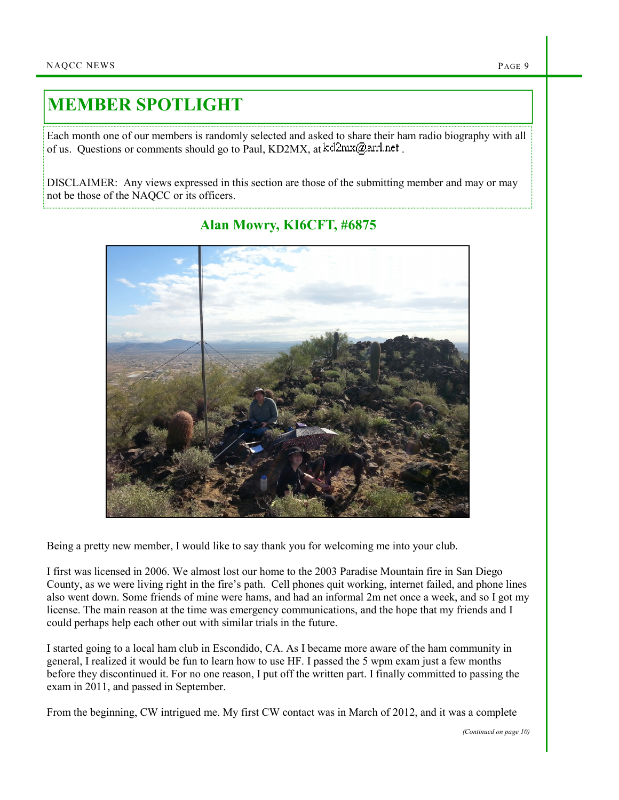## MEMBER SPOTLIGHT

Each month one of our members is randomly selected and asked to share their ham radio biography with all of us. Questions or comments should go to Paul, KD2MX, at  $kd2mx@ar1net$ .

DISCLAIMER: Any views expressed in this section are those of the submitting member and may or may not be those of the NAQCC or its officers.



## Alan Mowry, KI6CFT, #6875

Being a pretty new member, I would like to say thank you for welcoming me into your club.

I first was licensed in 2006. We almost lost our home to the 2003 Paradise Mountain fire in San Diego County, as we were living right in the fire's path. Cell phones quit working, internet failed, and phone lines also went down. Some friends of mine were hams, and had an informal 2m net once a week, and so I got my license. The main reason at the time was emergency communications, and the hope that my friends and I could perhaps help each other out with similar trials in the future.

I started going to a local ham club in Escondido, CA. As I became more aware of the ham community in general, I realized it would be fun to learn how to use HF. I passed the 5 wpm exam just a few months before they discontinued it. For no one reason, I put off the written part. I finally committed to passing the exam in 2011, and passed in September.

From the beginning, CW intrigued me. My first CW contact was in March of 2012, and it was a complete